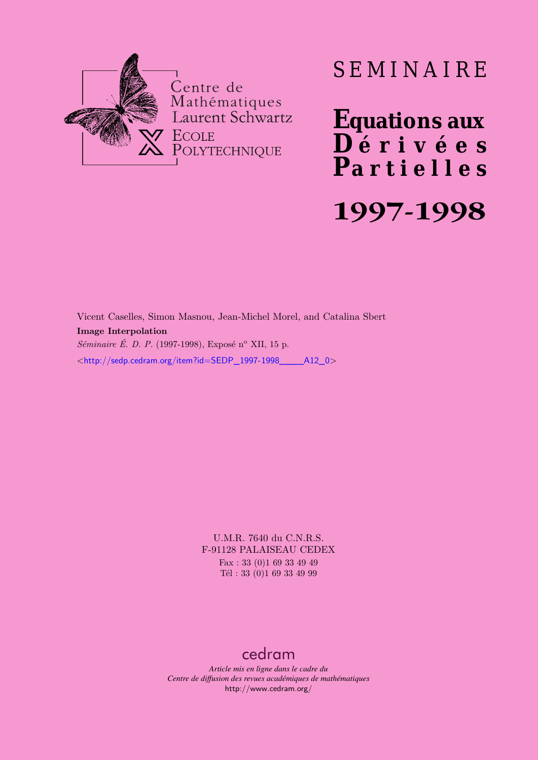

# SEMINAIRE

**Equations aux**  $\overline{\mathbf{D}}$  érivées **Partielles 1997-1998**

Vicent Caselles, Simon Masnou, Jean-Michel Morel, and Catalina Sbert **Image Interpolation** *Séminaire É. D. P.* (1997-1998), Exposé n<sup>o</sup> XII, 15 p. <[http://sedp.cedram.org/item?id=SEDP\\_1997-1998\\_\\_\\_\\_A12\\_0](http://sedp.cedram.org/item?id=SEDP_1997-1998____A12_0)>

> U.M.R. 7640 du C.N.R.S. F-91128 PALAISEAU CEDEX Fax : 33 (0)1 69 33 49 49 Tél : 33 (0)1 69 33 49 99

# [cedram](http://www.cedram.org/)

*Article mis en ligne dans le cadre du Centre de diffusion des revues académiques de mathématiques* <http://www.cedram.org/>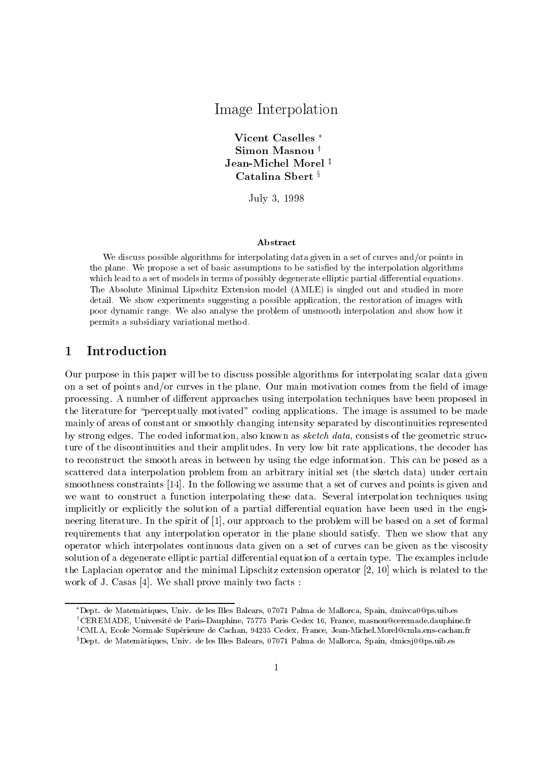## Image Interpretations and interpretations of the second second second second second second second second second second second second second second second second second second second second second second second second secon

Vicent Caselles Simon Masnou<sup>†</sup> Jean-Michel Morel<sup>#</sup> Catalina Sbert<sup>§</sup>

 $J$ uly  $J$ ,  $J$ 

#### Abstract

We discuss possible algorithms for interpolating data given in a set of curves and-or points in the plane. We propose a set of basic assumptions to be satisfied by the interpolation algorithms which lead to a set of models in terms of possibly degenerate elliptic partial differential equations. The Absolute Minimal Lipschitz Extension model AMLE is singled out and studied in more detail We show experiments suggesting a possible application the restoration of images with poor dynamic range We also analyse the problem of unsmooth interpolation and show how it permits a subsidiary variational method

#### **Introduction**  $\mathbf{1}$

Our purpose in this paper will be to discuss possible algorithms for interpolating scalar data given on a set of points and-or curves in the plane Our main motivation comes from the eld of image processing. A number of different approaches using interpolation techniques have been proposed in the literature for "perceptually motivated" coding applications. The image is assumed to be made mainly of areas of constant or smoothly changing intensity separated by discontinuities represented by strong edges. The coded information, also known as *sketch data*, consists of the geometric structure of the discontinuities and their amplitudes In very low bit rate applications the decoder has to reconstruct the smooth areas in between by using the edge information This can be posed as a scattered data interpolation problem from an arbitrary initial set the sketch data under certain smoothness constraints [14]. In the following we assume that a set of curves and points is given and we want to construct a function interpolating these data. Several interpolation techniques using implicitly or explicitly the solution of a partial differential equation have been used in the engineering literature. In the spirit of  $[1]$ , our approach to the problem will be based on a set of formal requirements that any interpolation operator in the plane should satisfy Then we show that any operator which interpolates continuous data given on a set of curves can be given as the viscosity solution of a degenerate elliptic partial differential equation of a certain type. The examples include the Laplacian operator and the minimal Lipschitz extension operator  $[2, 10]$  which is related to the work of J. Casas [4]. We shall prove mainly two facts:

Dept. de Matematiques, Univ. de les Illes Balears, 07071 Palma de Mallorca, Spain, dmivcauwps.uib.es 'UEREMADE, Université de Paris-Dauphine, 79775 Paris Cedex 16, France, masnouwceremade.dauphine.ir UMLA, Ecole Normale Superieure de Cachan, 94235 Cedex, France, Jean-Michel Morel@cmla.ens-cachan.fr" Dept. de Matematiques, Univ. de les Illes Balears, 07071 Palma de Mallorca, Spain, dmicsju@ps.uib.es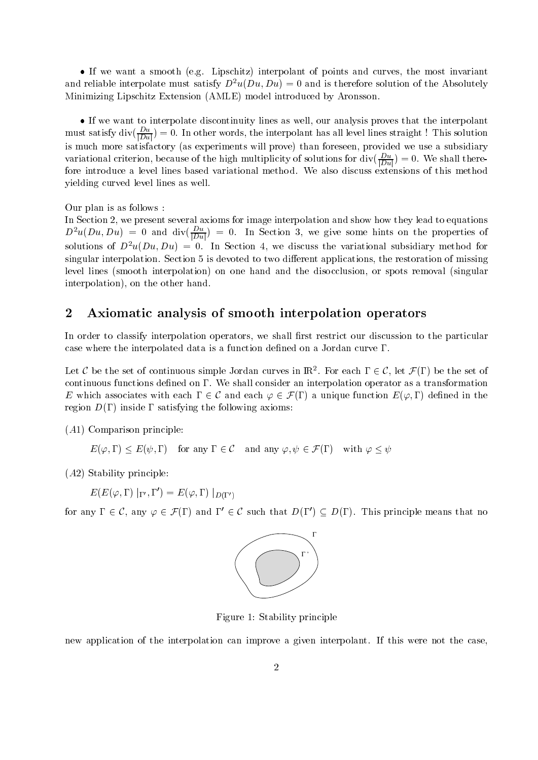$\bullet$  If we want a smooth (e.g. Lipschitz) interpolant of points and curves, the most invariant and rehable interpolate must satisfy  $D^{\ast}u(Du,Du)=0$  and is therefore solution of the Absolutely Minimizing Lipschitz Extension AMLE model introduced by Aronsson

 $\bullet$  If we want to interpolate discontinuity lines as well, our analysis proves that the interpolant must satisfy div $(\frac{Du}{|Du|})=0.$  In other words, the interpolant has all level lines straight  $\colon$  I his solution is more more satisfactory (as experiments will provide we use a subsidiary we use a subsidiary ( variational criterion, because of the high multiplicity of solutions for  $\frac{dV}{dDu}$ ) = 0. We shall therefore introduce a level lines based variational method. We also discuss extensions of this method yielding curved level lines as well

Our plan is as follows

In Section 2, we present several axioms for image interpolation and show how they lead to equations  $D^2u(Du, Du) = 0$  and  $\text{div}(\frac{\overline{D}u}{|Du|}) = 0$ . In Section 3, we give some nints on the properties of solutions of  $D$   $u(Du, Du) = 0$ . In Section 4, we discuss the variational subsidiary method for singular interpolation. Section 5 is devoted to two different applications, the restoration of missing level lines smooth interpolation on one hand and the disocclusion or spots removal singular interpolation), on the other hand.

#### $\overline{2}$ Axiomatic analysis of smooth interpolation operators

In order to classify interpolation operators, we shall first restrict our discussion to the particular case where the interpolated data is a function defined on a Jordan curve  $\Gamma$ .

Let C be the set of continuous simple Jordan curves in  $\mathbb{R}^2$ . For each  $\Gamma \in \mathcal{C}$ , let  $\mathcal{F}(\Gamma)$  be the set of continuous functions defined on  $\Gamma$ . We shall consider an interpolation operator as a transformation E which associates with each  $\Gamma \in \mathcal{C}$  and each  $\varphi \in \mathcal{F}(\Gamma)$  a unique function  $E(\varphi, \Gamma)$  defined in the region D inside satisfying the following axioms

A
 Comparison principle

$$
E(\varphi, \Gamma) \le E(\psi, \Gamma)
$$
 for any  $\Gamma \in \mathcal{C}$  and any  $\varphi, \psi \in \mathcal{F}(\Gamma)$  with  $\varphi \le \psi$ 

A Stability principle

 $E(E(\varphi,\Gamma)\mid_{\Gamma'},\Gamma')=E(\varphi,\Gamma)\mid_{D(\Gamma')}$  $\mathbf{r}$  and  $\mathbf{r}$ 

for any  $\Gamma \in \mathcal{C}$ , any  $\varphi \in \mathcal{F}(\Gamma)$  and  $\Gamma' \in \mathcal{C}$  such that  $D(\Gamma') \subseteq D(\Gamma)$ . This principle means that no



Figure Stability principle

new application of the interpolation can improve a given interpolant. If this were not the case,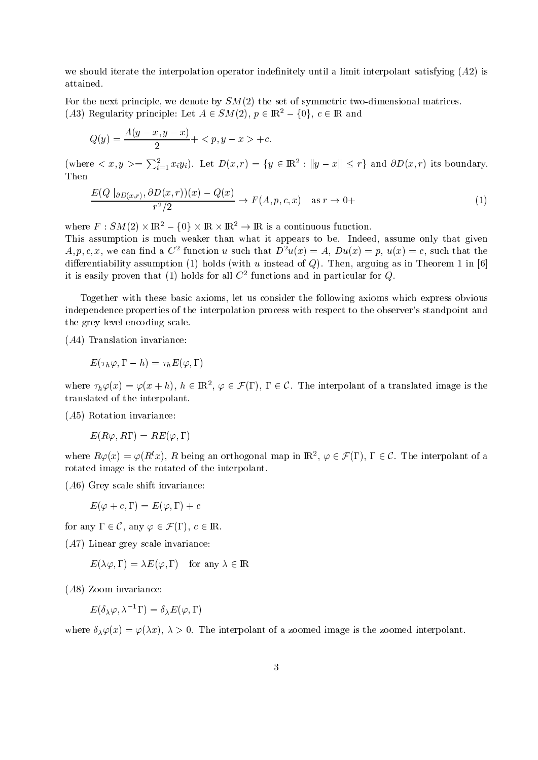we should it the interpretation operator in the interpretation operator in the interpretation of the interpret attained

For the next principle we denote by SM the set of symmetric two dimensional matrices (A3) Regularity principle: Let  $A \in SM(2)$ ,  $p \in \mathbb{R}^2 - \{0\}$ ,  $c \in \mathbb{R}$  and

$$
Q(y) = \frac{A(y - x, y - x)}{2} + \langle p, y - x \rangle + c.
$$

(where  $\langle x, y \rangle = \sum_{i=1}^{\infty} x_i y_i$ ). Let  $D(x,r) = \{y \in \mathbb{R}^2 : ||y - x|| \leq r\}$  and  $\partial D(x,r)$  its boundary. Then

$$
\frac{E(Q \mid_{\partial D(x,r)}, \partial D(x,r))(x) - Q(x)}{r^2/2} \to F(A, p, c, x) \quad \text{as } r \to 0+
$$
\n(1)

where  $F:SM(2)\times\mathbb{R}^2-\{0\}\times\mathbb{R}\times\mathbb{R}^2\to\mathbb{R}$  is a continuous function.

This assumption is much weaker than what it appears to be. Indeed, assume only that given  $A, p, c, x$ , we can find a  $C^+$  function u such that  $D^+u(x) = A$ ,  $Du(x) = p$ ,  $u(x) = c$ , such that the die die rentiese van die holds van die verslag van die van die van die van die van die verslag van die verslag it is easily proven that  $(1)$  noids for all  $C$  -functions and in particular for  $Q.$ 

Together with these basic axioms let us consider the following axioms which express obvious independence properties of the interpolation process with respect to the observer's standpoint and the grey level encoding scale

 $\lambda$  . Translation is the invariance in  $\lambda$ 

$$
E(\tau_h \varphi, \Gamma - h) = \tau_h E(\varphi, \Gamma)
$$

where  $\tau_h \varphi(x) = \varphi(x+h)$ ,  $h \in \mathbb{R}^2$ ,  $\varphi \in \mathcal{F}(\Gamma)$ ,  $\Gamma \in \mathcal{C}$ . The interpolant of a translated image is the translated of the interpolant

A Rotation invariance

$$
E(R\varphi,R\Gamma)=RE(\varphi,\Gamma)
$$

where  $R\varphi(x) = \varphi(R^t x)$ , R being an orthogonal map in  $\mathbb{R}^2$ ,  $\varphi \in \mathcal{F}(\Gamma)$ ,  $\Gamma \in \mathcal{C}$ . The interpolant of a rotated image is the rotated of the interpolant

A Grey scale shift invariance

$$
E(\varphi+c,\Gamma)=E(\varphi,\Gamma)+c
$$

for any  $\Gamma \in \mathcal{C}$ , any  $\varphi \in \mathcal{F}(\Gamma)$ ,  $c \in \mathbb{R}$ .

A Linear grey scale invariance

$$
E(\lambda \varphi, \Gamma) = \lambda E(\varphi, \Gamma)
$$
 for any  $\lambda \in \mathbb{R}$ 

 $\lambda$  zoom is a zoom invariance in vertex  $\lambda$ 

$$
E(\delta_\lambda \varphi, \lambda^{-1}\Gamma) = \delta_\lambda E(\varphi, \Gamma)
$$

where  $\{X,Y,Y\}$  is the interpolant of  $X$  is the zoomed interpolant of a society  $\{X,Y,Y\}$  is the zoomed interpolant of  $X$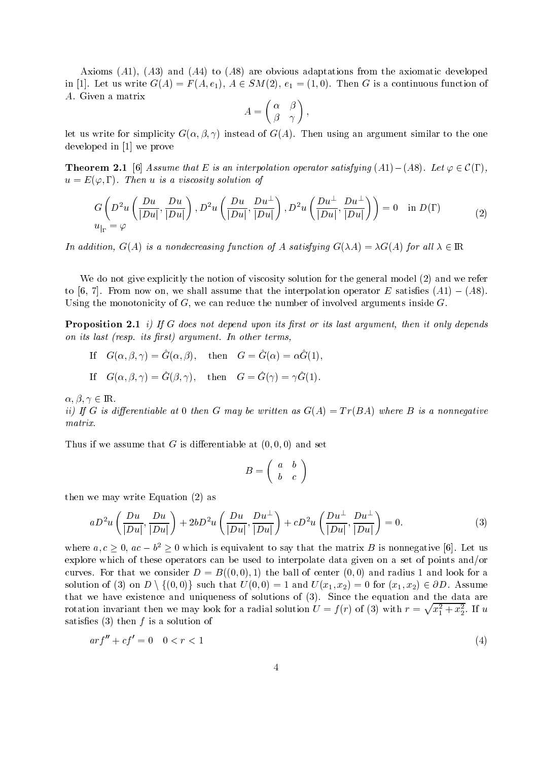Axioms A A and A to A are obvious adaptations from the axiomatic developed in [1]. Let us write  $G(A) = F(A, e_1), A \in SM(2), e_1 = (1, 0)$ . Then G is a continuous function of A. Given a matrix -

$$
A = \begin{pmatrix} \alpha & \beta \\ \beta & \gamma \end{pmatrix},
$$

let us write for simplicity G - - instead of G A Then using an argument similar to the one developed in  $[1]$  we prove

**Theorem 2.1** [6] Assume that E is an interpolation operator satisfying  $(A1) - (A8)$ . Let  $\varphi \in \mathcal{C}(\Gamma)$ , u is a viscosity solution of the solution of the solution of the solution of the solution of the solution of t

$$
G\left(D^2u\left(\frac{Du}{|Du|},\frac{Du}{|Du|}\right), D^2u\left(\frac{Du}{|Du|},\frac{Du^{\perp}}{|Du|}\right), D^2u\left(\frac{Du^{\perp}}{|Du|},\frac{Du^{\perp}}{|Du|}\right)\right) = 0 \quad \text{in } D(\Gamma)
$$
  

$$
u_{|\Gamma} = \varphi
$$
 (2)

In addition,  $G(A)$  is a nondecreasing function of A satisfying  $G(\lambda A) = \lambda G(A)$  for all  $\lambda \in \mathbb{R}$ 

We do not give explicitly the notion of viscosity solution for the general model and we refer to  $|0, t|$ . From now on, we shall assume that the interpolation operator E satisfies  $(A1) = (A0)$ . Using the monotonicity of  $G$ , we can reduce the number of involved arguments inside  $G$ .

Proposition - iIf <sup>G</sup> does not depend upon its rst or its last argument then it only depends on its rate its last respect to the control of the state of the state of the state of the state of the state o

 $\mathbf{u} = \mathbf{u}(\alpha, \beta, \gamma) = \mathbf{u}(\alpha, \beta), \quad \text{then} \quad \mathbf{u} = \mathbf{u}(\alpha) = \alpha \mathbf{u}(1),$ 

 $\mathbf{u} = \mathbf{u}(\alpha, \beta, \gamma) = \mathbf{u}(\beta, \gamma),$  when  $\mathbf{u} = \mathbf{u}(\gamma) = \gamma \mathbf{u}(\gamma).$ 

 $\alpha, \beta, \gamma \in \mathbb{R}$ .

ii I G is differentiable at G many G many be written as G is a non-term as G is a non-terminal control of the matrix.

Thus if we assume that  $\mathcal{A} = \{x_i\}_{i=1}^n$  and set  $\mathcal{A} = \{x_i\}_{i=1}^n$ 

$$
B=\left(\begin{array}{cc}a&b\\b&c\end{array}\right)
$$

then we may write  $\mathbb{R}^n$  we may write  $\mathbb{R}^n$  write  $\mathbb{R}^n$  write  $\mathbb{R}^n$ 

$$
aD^2u\left(\frac{Du}{|Du|},\frac{Du}{|Du|}\right)+2bD^2u\left(\frac{Du}{|Du|},\frac{Du^{\perp}}{|Du|}\right)+cD^2u\left(\frac{Du^{\perp}}{|Du|},\frac{Du^{\perp}}{|Du|}\right)=0.\tag{3}
$$

where  $a, c \geq 0$ ,  $ac - b^2 \geq 0$  which is equivalent to say that the matrix B is nonnegative [6]. Let us explore which of these operators can be used to interpolate data given on a set of points and-or  $\mathbf{A} \in \mathbb{R}$  . The ball of center  $\mathbf{A} \in \mathbb{R}$ solution of (3) on  $D \setminus \{(0,0)\}$  such that  $U(0,0) = 1$  and  $U(x_1,x_2) = 0$  for  $(x_1,x_2) \in \partial D$ . Assume that we have existence and uniqueness of solutions of solutions of solutions of solutions of solution and the data are  $\mathcal{S}$ rotation invariant then we may look for a radial solution  $U = f(r)$  of (3) with  $r = \sqrt{x_1^2 + x_2^2}$ . If u satisfied the form of the form of the solution of the solution of the solution of the solution of the solution

$$
arf'' + cf' = 0 \quad 0 < r < 1 \tag{4}
$$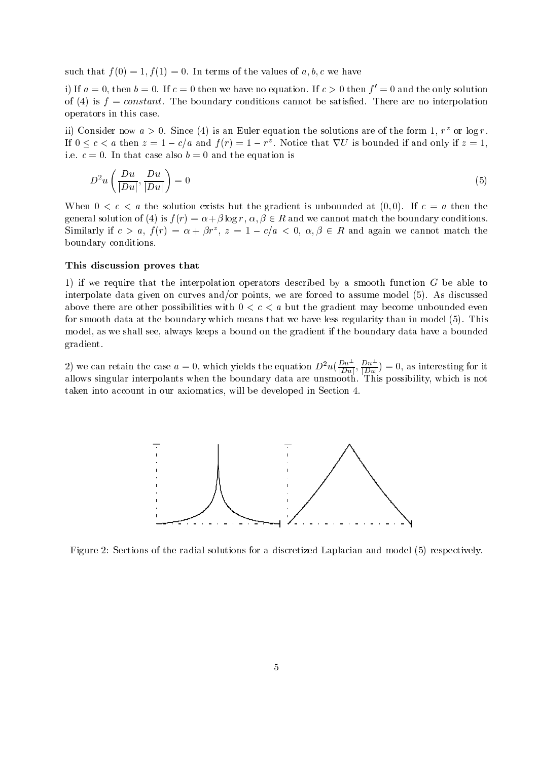such that f is the values of the values of a-matrix of a-matrix  $\mathbf{r}$  and  $\mathbf{r}$ 

If  $a = 0$ , then  $b = 0$ . If  $c = 0$  then we have no equation. If  $c > 0$  then  $f = 0$  and the only solution of the boundary constant The boundary constant Theorem are no interpolations can no interpret  $\mathcal{N}$ operators in this case

ii) Consider now  $a > 0$ . Since (4) is an Euler equation the solutions are of the form 1,  $r^2$  or log r. If  $0 \leq c < a$  then  $z = 1 - c/a$  and  $f(r) = 1 - r^z$ . Notice that  $\nabla U$  is bounded if and only if  $z = 1$ , i.e.  $c = 0$ . In that case also  $b = 0$  and the equation is

$$
D^2 u\left(\frac{Du}{|Du|}, \frac{Du}{|Du|}\right) = 0\tag{5}
$$

when  $\mathcal{C}$  and the solution exists but the gradient is unbounded at the gradient is unbounded at the gradient  $\mathcal{C}$ general solution of (4) is  $f(r) = \alpha + \beta \log r$ ,  $\alpha, \beta \in R$  and we cannot match the boundary conditions. Similarly if  $c > a$ ,  $f(r) = \alpha + \beta r^2$ ,  $z = 1 - c/a < 0$ ,  $\alpha, \beta \in R$  and again we cannot match the boundary conditions

### This discussion proves that

1) if we require that the interpolation operators described by a smooth function  $G$  be able to interpolate data given on curves and-or points we are forced to assume model As discussed above there are other possibilities with  $0 < c < a$  but the gradient may become unbounded even for smooth data at the boundary which means that we have  $\alpha$  regularity than in model  $\alpha$  is model to  $\alpha$ model as we shall see always keeps a bound on the gradient if the boundary data have a bounded gradient

2) we can retain the case  $a = 0$ , which yields the equation  $D^2u(\frac{Du}{|Du|}, \frac{Du}{|Du|}) = 0$ , as interesting for it allows singular interpolants when the boundary data are unsmooth This possibility which is not taken into account in our axiomatics, will be developed in Section 4.



Figure Sections of the radial solutions for a discretized Laplacian and model respectively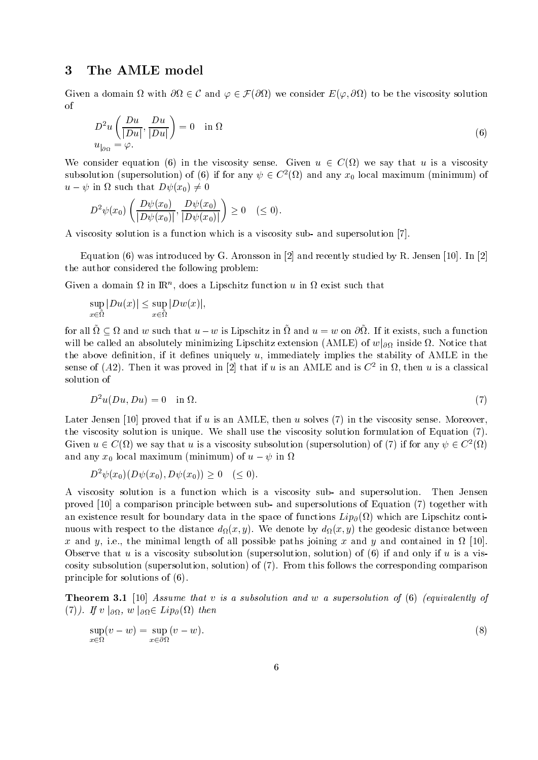## The AMLE model

Given a domain  $\Omega$  with  $\partial\Omega \in \mathcal{C}$  and  $\varphi \in \mathcal{F}(\partial\Omega)$  we consider  $E(\varphi, \partial\Omega)$  to be the viscosity solution  $\alpha$ f

$$
D^2 u\left(\frac{Du}{|Du|}, \frac{Du}{|Du|}\right) = 0 \quad \text{in } \Omega
$$
  

$$
u_{|_{\partial\Omega}} = \varphi.
$$
 (6)

We consider equation (6) in the viscosity sense. Given  $u \in C(\Omega)$  we say that u is a viscosity subsolution (supersolution) of (6) if for any  $\psi \in C^2(\Omega)$  and any  $x_0$  local maximum (minimum) of  $u - \psi$  in  $\Omega$  such that  $D\psi(x_0) \neq 0$ 

$$
D^2\psi(x_0)\left(\frac{D\psi(x_0)}{|D\psi(x_0)|},\frac{D\psi(x_0)}{|D\psi(x_0)|}\right)\geq 0\quad (\leq 0).
$$

A viscosity solution is a function which is a viscosity sub- and supersolution  $[7]$ .

Equation was introduced by G Aronsson in  and recently studied by R Jensen  In  the author considered the following problem

Given a domain  $\alpha$  in IRT, does a Lipschitz function  $u$  in  $\alpha$  exist such that

$$
\sup_{x \in \tilde{\Omega}} |Du(x)| \leq \sup_{x \in \tilde{\Omega}} |Dw(x)|,
$$

for all  $\Omega \subseteq \Omega$  and w such that  $u - w$  is Lipschitz in  $\Omega$  and  $u = w$  on  $\partial\Omega$ . If it exists, such a function will be called an absolutely minimizing Lipschitz extension (AMLE) of  $w|_{\partial\Omega}$  inside  $\Omega$ . Notice that the above definition, if it defines uniquely  $u$ , immediately implies the stability of AMLE in the sense of (Az). Then it was proved in  $|z|$  that if  $u$  is an AMLE and is C  $^{-}$  in  $\imath \iota$ , then  $u$  is a classical solution of

$$
D^2u(Du, Du) = 0 \quad \text{in } \Omega. \tag{7}
$$

Later Jensen 
 proved that if u is an AMLE then u solves in the viscosity sense Moreover the viscosity solution is unique We shall use the viscosity solution for  $\mathbb{R}$  . The viscosity solution for  $\mathbb{R}$ Given  $u \in C(\Omega)$  we say that u is a viscosity subsolution (supersolution) of (7) if for any  $\psi \in C^{2}(\Omega)$ and any  $x_0$  local maximum (minimum) of  $a = \varphi$  in  $\Omega$ 

$$
D^{2}\psi(x_{0})(D\psi(x_{0}),D\psi(x_{0}))\geq 0 \quad (\leq 0).
$$

A viscosity solution is a function which is a viscosity sub- and supersolution. Then Jensen proved a comparison principle between subsetting and subsetting and subsetting and supersolution of Equation and Supersolution and subsetting and subsetting and subsetting and subsetting and subsetting and subsetting and s and the space result for boundary data in the space of functions  $\Gamma$  are Lipschitz continuous Lipschitz continuous Lipschitz continuous Lipschitz continuous Lipschitz continuous Lipschitz continuous Lipschitz continuous nuous with respect to the distance distance  $\mathcal{Y}(t)$  ,  $\mathcal{Y}(t)$  , and  $\mathcal{Y}(t)$  and  $\mathcal{Y}(t)$  are good distance between  $\mathcal{Y}(t)$ x and y, i.e., the minimal length of all possible paths joining x and y and contained in  $\Omega$  [10]. Observe that u is a viscosity subsolution supersolution solution of if and only if u is a vis cosity subsolution supersolution solution of From this follows the corresponding comparison principle for solutions of

Theorem  Assume that v is a subsolution and w a supersolution of equivalently of (7)). If  $v \mid_{\partial \Omega}$ ,  $w \mid_{\partial \Omega} \in Lip_{\partial}(\Omega)$  then

$$
\sup_{x \in \Omega} (v - w) = \sup_{x \in \partial \Omega} (v - w). \tag{8}
$$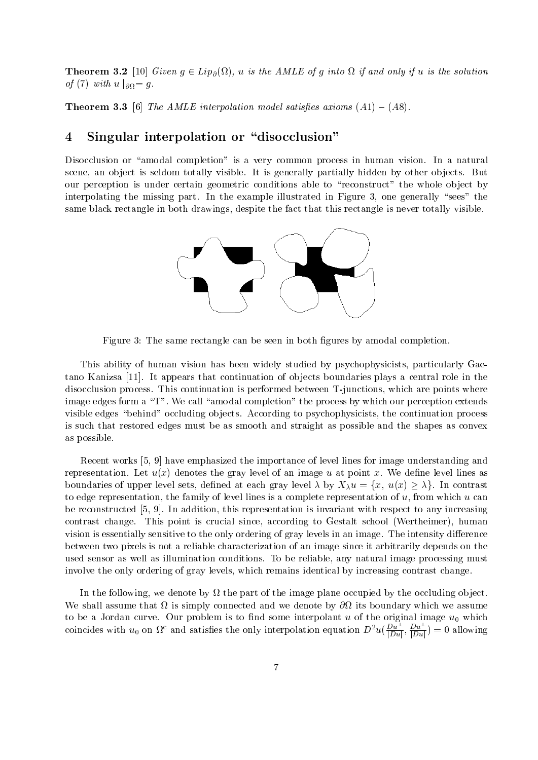**Theorem 3.2** [10] Given  $g \in Lip_{\partial}(\Omega)$ , u is the AMLE of g into  $\Omega$  if and only if u is the solution of (7) with  $u|_{\partial\Omega} = g$ .

**THEOREM 0.0** [0] The AMLE interpolation model satisfies diffons  $(A1) = (A0)$ .

## 4 Singular interpolation or "disocclusion"

Disocclusion or "amodal completion" is a very common process in human vision. In a natural scene, an object is seldom totally visible. It is generally partially hidden by other objects. But our perception is under certain geometric conditions able to "reconstruct" the whole object by interpolating the missing part. In the example illustrated in Figure 3, one generally "sees" the same black rectangle in both drawings despite the fact that this rectangle is never totally visible



Figure 3: The same rectangle can be seen in both figures by amodal completion.

This ability of human vision has been widely studied by psychophysicists particularly Gae tano Kanizsa [11]. It appears that continuation of objects boundaries plays a central role in the disocclusion process. This continuation is performed between T-junctions, which are points where image edges form a "T". We call "amodal completion" the process by which our perception extends visible edges "behind" occluding objects. According to psychophysicists, the continuation process is such that restored edges must be as smooth and straight as possible and the shapes as convex as possible

Recent works [5, 9] have emphasized the importance of level lines for image understanding and representation Let up y denotes the gray level of an image u at point y, we denote a the model of an boundaries of upper level sets, defined at each gray level  $\lambda$  by  $X_{\lambda}u = \{x, u(x) \geq \lambda\}$ . In contrast to edge representation, the family of level lines is a complete representation of  $u$ , from which  $u$  can be reconstructed  $[5, 9]$ . In addition, this representation is invariant with respect to any increasing contrast change This point is crucial since according to Gestalt school Wertheimer human vision is essentially sensitive to the only ordering of gray levels in an image. The intensity difference between two pixels is not a reliable characterization of an image since it arbitrarily depends on the used sensor as well as illumination conditions To be reliable any natural image processing must involve the only ordering of gray levels, which remains identical by increasing contrast change.

In the following, we denote by  $\Omega$  the part of the image plane occupied by the occluding object. We shall assume that  $\Omega$  is simply connected and we denote by  $\partial\Omega$  its boundary which we assume to be a Jordan curve. Our problem is to find some interpolant u of the original image  $u_0$  which coincides with  $u_0$  on  $\Omega^c$  and satisfies the only interpolation equation  $D^2u(\frac{Du}{|Du|}, \frac{Du}{|Du|})=0$  allowing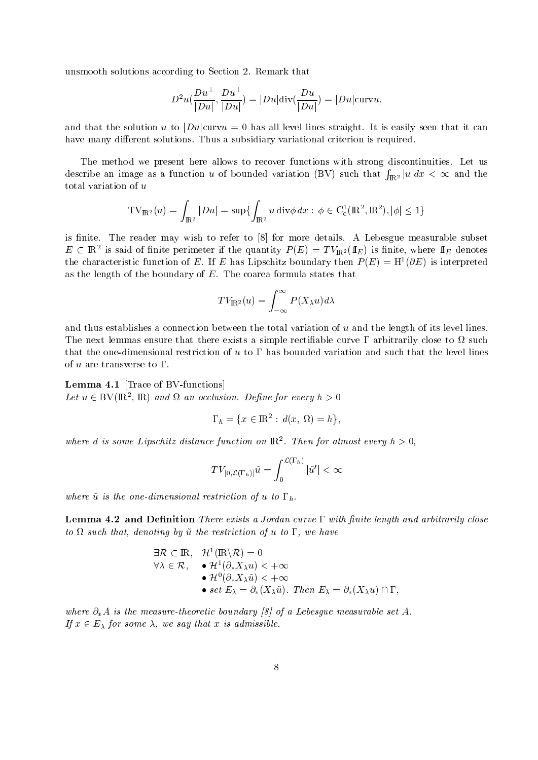unsmooth solutions according to Section 2. Remark that

$$
D^2u(\frac{Du^{\perp}}{|Du|},\frac{Du^{\perp}}{|Du|})=|Du|\text{div}(\frac{Du}{|Du|})=|Du|\text{curv}u,
$$

and that the solution u to  $|Du|$ curvu = 0 has all level lines straight. It is easily seen that it can have many different solutions. Thus a subsidiary variational criterion is required.

The method we present here allows to recover functions with strong discontinuities. Let us describe an image as a function u of bounded variation (BV) such that  $\int_{\mathbb{R}^2} |u| dx < \infty$  and the total variation of u

$$
\mathrm{TV}_{\mathrm{I\!R}^2}(u)=\int_{\mathrm{I\!R}^2}|Du|=\sup\{\int_{\mathrm{I\!R}^2}u\operatorname{div}\phi\,dx:\,\phi\in\mathrm{C}^1_\mathrm{c}(\mathrm{I\!R}^2,\mathrm{I\!R}^2),|\phi|\leq 1\}
$$

is finite. The reader may wish to refer to [8] for more details. A Lebesgue measurable subset  $E \subset \mathbb{R}^2$  is said of finite perimeter if the quantity  $P(E) = T V_{\mathbb{R}^2}(\mathbb{1}_E)$  is finite, where  $\mathbb{1}_E$  denotes the characteristic function of E. If E has Lipschitz boundary then  $P(E) \equiv \Pi/(0E)$  is interpreted as the length of the boundary of  $E$ . The coarea formula states that

$$
TV_{\mathbb{R}^2}(u) = \int_{-\infty}^{\infty} P(X_{\lambda}u) d\lambda
$$

and thus establishes a connection between the total variation of  $u$  and the length of its level lines. The next lemmas ensure that there exists a simple rectifiable curve  $\Gamma$  arbitrarily close to  $\Omega$  such that the one-dimensional restriction of  $u$  to  $\Gamma$  has bounded variation and such that the level lines of u are transverse to  $\Gamma$ .

**Lemma 4.1** [Trace of BV-functions] Let  $u \in BV(\mathbb{R}^2, \mathbb{R})$  and  $\Omega$  an occlusion. Define for every  $h > 0$ 

$$
\Gamma_h = \{ x \in \mathbb{R}^2 : d(x, \Omega) = h \},
$$

where a is some Lipschitz aistance function on  ${\rm I\!R}$  . Then for almost every  $n>0,$ 

$$
TV_{[0,\mathcal{L}(\Gamma_h)]}\tilde{u}=\int_0^{\mathcal{L}(\Gamma_h)}|\tilde{u}'|<\infty
$$

where  $\tilde{u}$  is the one-dimensional restriction of u to  $\Gamma_h$ .

 $\blacksquare$  channels  $\blacksquare$  . There is a  $\blacksquare$  and arbitrarily curve  $\blacksquare$  . Where  $\blacksquare$  and arbitrarily close to  $\Omega$  such that, denoting by  $\tilde{u}$  the restriction of u to  $\Gamma$ , we have

$$
\exists \mathcal{R} \subset \mathbb{R}, \quad \mathcal{H}^1(\mathbb{R} \setminus \mathcal{R}) = 0
$$
  
\n
$$
\forall \lambda \in \mathcal{R}, \quad \bullet \mathcal{H}^1(\partial_* X_\lambda u) < +\infty
$$
  
\n
$$
\bullet \mathcal{H}^0(\partial_* X_\lambda \tilde{u}) < +\infty
$$
  
\n
$$
\bullet \ set \ E_\lambda = \partial_* (X_\lambda \tilde{u}). \ Then \ E_\lambda = \partial_* (X_\lambda u) \cap \Gamma,
$$

where  $M$  is the measurable set  $M$  is the measurable set  $M$  is the measurable set  $M$  is the measurable set  $M$ If  $x\in E_\lambda$  for some  $\lambda,$  we say that x is admissible.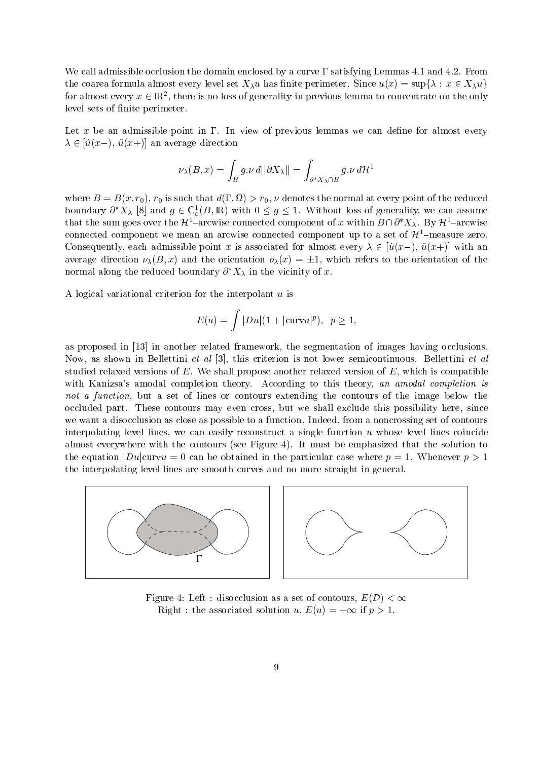We call admissible occlusion the domain enclosed by a curve  $\Gamma$  satisfying Lemmas 4.1 and 4.2. From the coarea formula almost every level set  $X_\lambda u$  has finite perimeter. Since  $u(x)=\sup\{\lambda:\,x\in X_\lambda u\}$ for almost every  $x \in \mathbb{R}^2$ , there is no loss of generality in previous lemma to concentrate on the only level sets of finite perimeter.

Let x be an admissible point in  $\Gamma$ . In view of previous lemmas we can define for almost every  $\lambda \in [u(x-), u(x+)]$  an average direction

$$
\nu_{\lambda}(B,x)=\int_B g.\nu\ d||\partial X_{\lambda}||=\int_{\partial^*X_{\lambda}\cap B} g.\nu\ d\mathcal{H}^1
$$

 $\mathcal{N}$  reduced that denotes the normal at every point of the reduced to the reduced to the reduced to the reduced to the reduced to the reduced to the reduced to the reduced to the reduced to the reduced to the reduced boundary  $\partial^* X_\lambda$  [8] and  $g \in C_c^1(B, \mathbb{R})$  with  $0 \leq g \leq 1$ . Without loss of generality, we can assume that the sum goes over the  $\mathcal{H}^1$ -arcwise connected component of x within  $B \cap \partial^* X_\lambda$ . By  $\mathcal{H}^1$ -arcwise connected component we mean an arcwise connected component up to a set of  $\mathcal{H}^1$ -measure zero. Consequently, each admissible point x is associated for almost every  $\lambda \in |u(x-), u(x+)|$  with an average direction  $\nu_{\lambda}(B,x)$  and the orientation  $o_{\lambda}(x) = \pm 1$ , which refers to the orientation of the normal along the reduced boundary  $\partial^* X_\lambda$  in the vicinity of x.

A logical variational criterion for the interpolant  $u$  is

$$
E(u) = \int |Du|(1+|\text{curv}u|^p), \ \ p \ge 1,
$$

as proposed in  $[13]$  in another related framework, the segmentation of images having occlusions. Now, as shown in Bellettini *et al* [3], this criterion is not lower semicontinuous. Bellettini *et al* studied relaxed versions of  $E$ . We shall propose another relaxed version of  $E$ , which is compatible with Kanizsa's amodal completion theory. According to this theory, an amodal completion is not a function, but a set of lines or contours extending the contours of the image below the occluded part. These contours may even cross, but we shall exclude this possibility here, since we want a disocclusion as close as possible to a function. Indeed, from a noncrossing set of contours interpolating level lines, we can easily reconstruct a single function  $u$  whose level lines coincide almost every where which the contours part figure by the most be the production that the solution to the equation  $|Du|_{\text{curv}u} = 0$  can be obtained in the particular case where  $p = 1$ . Whenever  $p > 1$ the interpolating level lines are smooth curves and no more straight in general



Figure 4: Left : disocclusion as a set of contours,  $E(D) < \infty$ Right : the associated solution  $u, E(u) = +\infty$  if  $p > 1$ .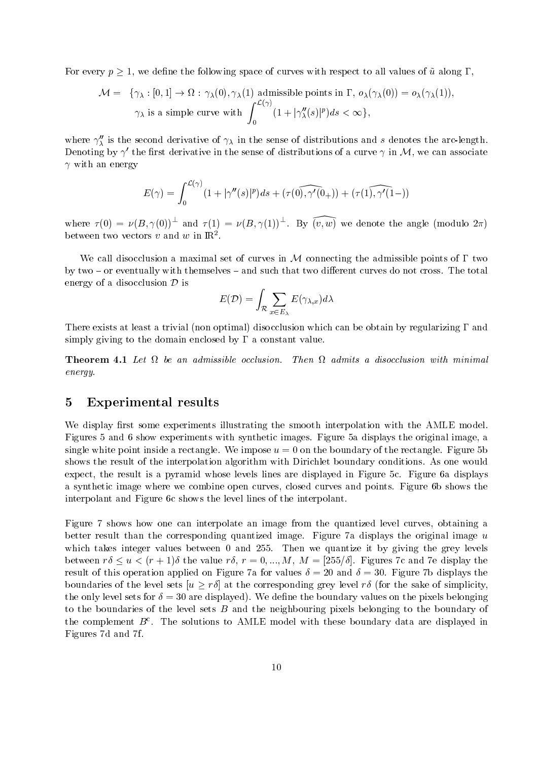For every  $p \geq 1$ , we define the following space of curves with respect to all values of  $\tilde{u}$  along  $\Gamma$ ,

$$
\mathcal{M} = \{ \gamma_{\lambda} : [0, 1] \to \Omega : \gamma_{\lambda}(0), \gamma_{\lambda}(1) \text{ admissible points in } \Gamma, o_{\lambda}(\gamma_{\lambda}(0)) = o_{\lambda}(\gamma_{\lambda}(1)),
$$
  

$$
\gamma_{\lambda} \text{ is a simple curve with } \int_{0}^{\mathcal{L}(\gamma)} (1 + |\gamma_{\lambda}''(s)|^{p}) ds < \infty \},
$$

where  $\gamma_{\lambda}$  is the second derivative of  $\gamma_{\lambda}$  in the sense of distributions and s denotes the arc-length. Denoting by  $\gamma'$  the first derivative in the sense of distributions of a curve  $\gamma$  in M, we can associate  $\gamma$  with an energy

$$
E(\gamma)=\int_0^{\mathcal{L}(\gamma)}(1+|\gamma''(s)|^p)ds+(\tau(\widehat{0),\gamma'(0_+)})+(\tau(\widehat{1),\gamma'(1-)})
$$

where  $\tau(0) = \nu(B, \gamma(0))$  and  $\tau(1) = \nu(B, \gamma(1))$ . By  $(v, w)$  we denote the angle (modulo  $2\pi$ ) between two vectors v and w in  $\mathbb{R}^2$ .

We call disocclusion a maximal set of curves in  $M$  connecting the admissible points of  $\Gamma$  two by two  $-$  or eventually with themselves  $-$  and such that two different curves do not cross. The total energy of a disocclusion  $\mathcal D$  is

$$
E(\mathcal{D}) = \int_{\mathcal{R}} \sum_{x \in E_{\lambda}} E(\gamma_{\lambda,x}) d\lambda
$$

There exists at least a trivial non optimal disocclusion which can be obtain by regularizing and simply giving to the domain enclosed by  $\Gamma$  a constant value.

energy-

## Experimental results

We display first some experiments illustrating the smooth interpolation with the AMLE model. Figures 5 and 6 show experiments with synthetic images. Figure 5a displays the original image, a single white point inside a rectangle. We impose  $u = 0$  on the boundary of the rectangle. Figure 5b shows the result of the interpolation algorithm with Dirichlet boundary conditions As one would expect, the result is a pyramid whose levels lines are displayed in Figure 5c. Figure 6a displays a synthetic image where we combine open curves, closed curves and points. Figure 6b shows the interpolant and Figure 6c shows the level lines of the interpolant.

Figure 7 shows how one can interpolate an image from the quantized level curves, obtaining a better result than the corresponding quantized image. Figure 7a displays the original image  $u$ which takes integer values between 0 and 255. Then we quantize it by giving the grey levels between  $r \delta \leq u \leq (r+1) \delta$  the value  $r \delta, r = 0, ..., M, M = |255/\delta|$ . Figures 7c and 7e display the result of this operation applied on Figure 7a for values  $\delta = 20$  and  $\delta = 30$ . Figure 7b displays the boundaries of the level sets  $|u \geq r\delta|$  at the corresponding grey level  $r\delta$  (for the sake of simplicity, the only level sets for  $\delta = 30$  are displayed). We define the boundary values on the pixels belonging to the boundaries of the level sets  $B$  and the neighbouring pixels belonging to the boundary of the complement  $D^+$ . The solutions to AMLE model with these boundary data are displayed in Figures 7d and 7f.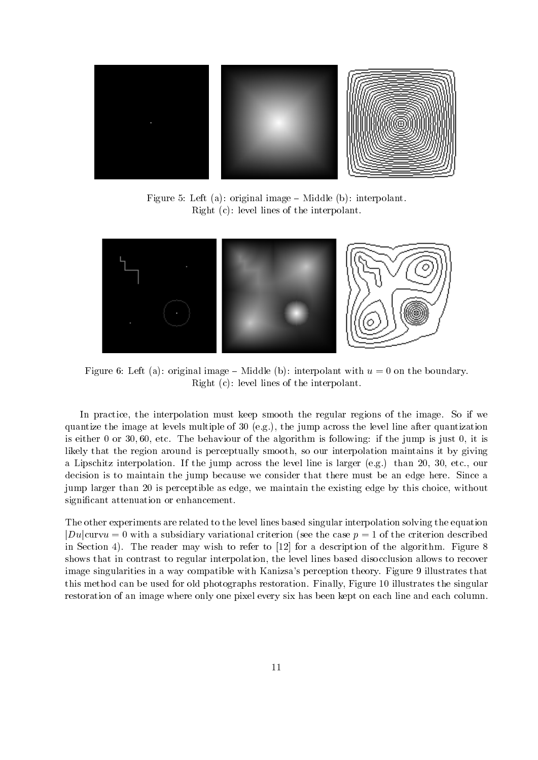

Figure Left a original image ! Middle b interpolant Right c level lines of the interpolant



Figure Left a original image ! Middle b interpolant with u on the boundary right is a contract of the interpretation of the interpretation of the interpretation of the interpretation of

In practice, the interpolation must keep smooth the regular regions of the image. So if we quantize the image at levels multiple of eg the jump across the level line after quantization is either the behaviour of the algorithm is following if the algorithm is just if the jump is just if the jump is just it is just if the jump is jump is jump is jump is just if the jump is jump is jump is jump is just in t likely that the region around is perceptually smooth, so our interpolation maintains it by giving a Lipschitz interpretation is the jump across the level line is larger (step) than 2019 that the level of the decision is to maintain the jump because we consider that there must be an edge here. Since a jump larger than 20 is perceptible as edge, we maintain the existing edge by this choice, without significant attenuation or enhancement.

The other experiments are related to the level lines based singular interpolation solving the equation  $|Du|$ curv $u = 0$  with a subsidiary variational criterion (see the case  $p = 1$  of the criterion described in Section 4). The reader may wish to refer to  $[12]$  for a description of the algorithm. Figure 8 shows that in contrast to regular interpolation the level lines based disocclusion allows to recover image singularities in a way compatible with Kanizsa's perception theory. Figure 9 illustrates that this method can be used for old photographs restoration. Finally, Figure 10 illustrates the singular restoration of an image where only one pixel every six has been kept on each line and each column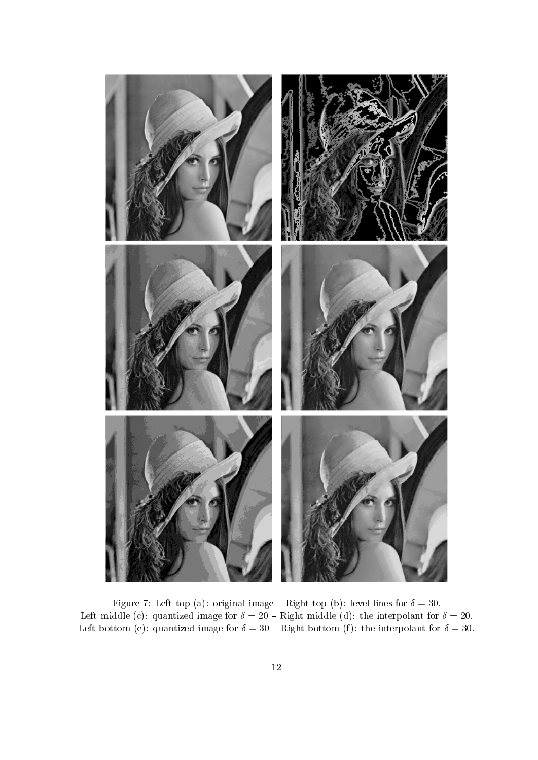

Figure Left top a original image ! Right top b level lines for  called the interpretation of the interpretation of the interpretational form  $\mathcal{C}$  . The interpretation of  $\mathcal{C}$ e the contract of the community of the contract form of the interpretation of the interpretation of the interpola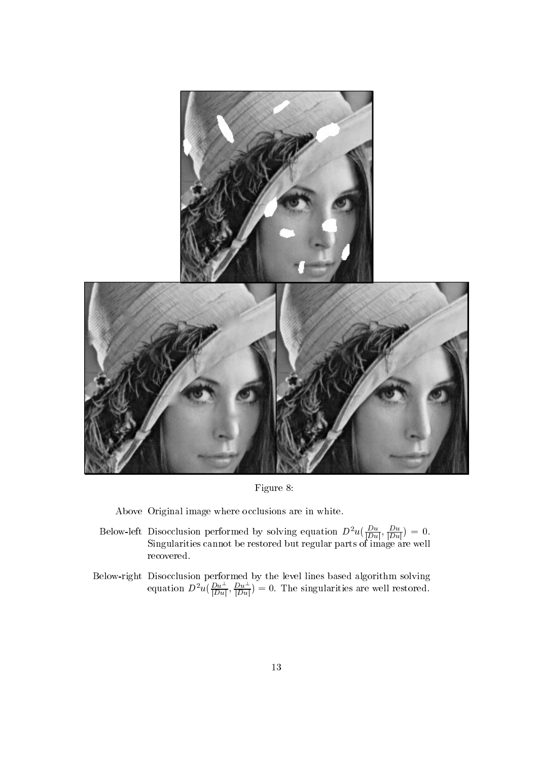

Figure 8:

Above Original image where occlusions are in white

- Below-left Disocclusion performed by solving equation  $D^{\mu}u(\frac{\overline{D}u}{\overline{D}u}, \frac{\overline{D}u}{\overline{D}u})=0.$  $S$  images can be restored by restored but regular parts of images are well as  $S$ recovered
- $\mathcal{L}$  and the level lines below performed by the level lines based algorithm solving algorithm solving  $\mathcal{L}$ equation  $D^2u(\frac{Du}{|Du|}, \frac{Du}{|Du|})=0$ . The singularities are well restored.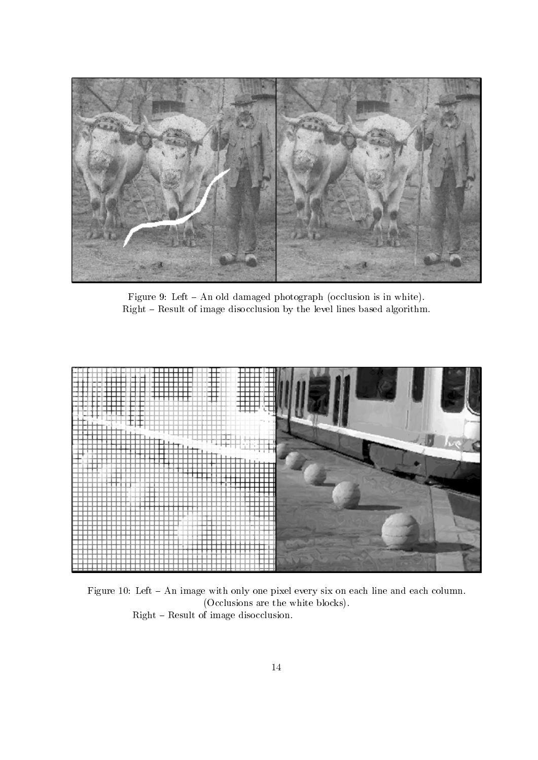

Figure 2. An old damaged photograph  $\mathbb{R}^n$  . In which is in which is in which is in which is in which is in which is in which is in the set of the set of the set of the set of the set of the set of the set of the set Right - Result of image disocclusion by the level lines based algorithm.



Figure 10: Left - An image with only one pixel every six on each line and each column.  $\mathcal{N}$  are the white blocks are the white blocks are the white blocks are the white blocks are the white blocks are the white blocks are the white blocks are the white blocks are the white blocks are the white blocks ar Right - Result of image disocclusion.